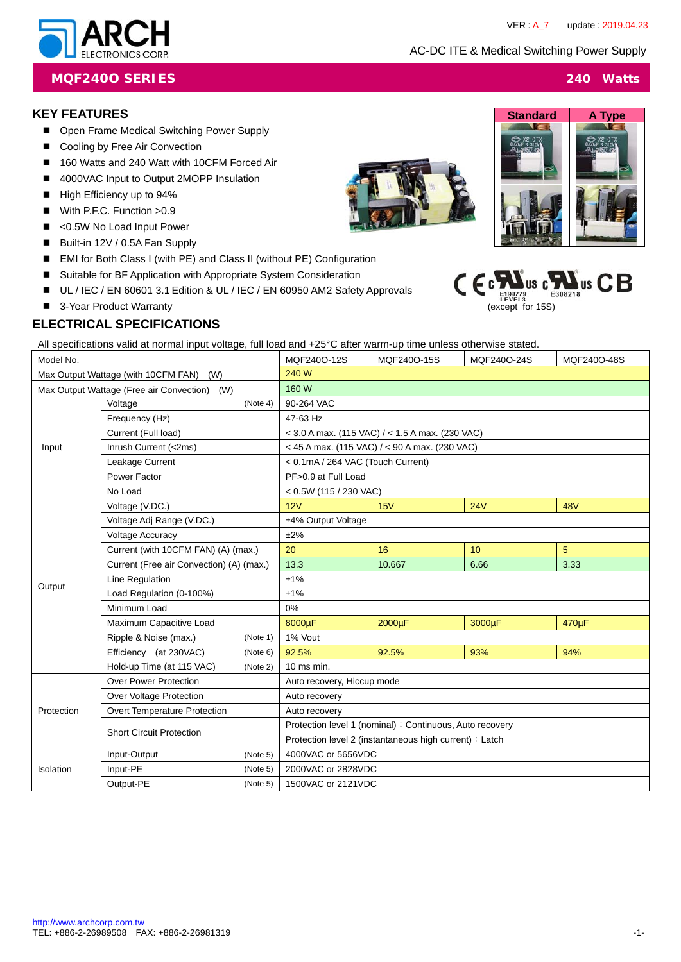AC-DC ITE & Medical Switching Power Supply

(except for 15S)

 $C \in \mathfrak{c}$ 



### **MQF240O SERIES 240 Watts**

#### **KEY FEATURES**

- Open Frame Medical Switching Power Supply
- Cooling by Free Air Convection
- 160 Watts and 240 Watt with 10CFM Forced Air
- 4000VAC Input to Output 2MOPP Insulation
- High Efficiency up to 94%
- With P.F.C. Function > 0.9
- <0.5W No Load Input Power
- Built-in 12V / 0.5A Fan Supply
- EMI for Both Class I (with PE) and Class II (without PE) Configuration
- Suitable for BF Application with Appropriate System Consideration
- UL / IEC / EN 60601 3.1 Edition & UL / IEC / EN 60950 AM2 Safety Approvals
- 3-Year Product Warranty

### **ELECTRICAL SPECIFICATIONS**

All specifications valid at normal input voltage, full load and +25°C after warm-up time unless otherwise stated.

| Model No.                                       |                                          | MQF240O-12S | MQF240O-15S                                              | MQF240O-24S | MQF240O-48S |            |
|-------------------------------------------------|------------------------------------------|-------------|----------------------------------------------------------|-------------|-------------|------------|
| Max Output Wattage (with 10CFM FAN) (W)         |                                          | 240 W       |                                                          |             |             |            |
| Max Output Wattage (Free air Convection)<br>(W) |                                          | 160 W       |                                                          |             |             |            |
| Input                                           | Voltage<br>(Note 4)                      |             | 90-264 VAC                                               |             |             |            |
|                                                 | Frequency (Hz)                           |             | 47-63 Hz                                                 |             |             |            |
|                                                 | Current (Full load)                      |             | $<$ 3.0 A max. (115 VAC) / $<$ 1.5 A max. (230 VAC)      |             |             |            |
|                                                 | Inrush Current (<2ms)                    |             | < 45 A max. (115 VAC) / < 90 A max. (230 VAC)            |             |             |            |
|                                                 | Leakage Current                          |             | < 0.1mA / 264 VAC (Touch Current)                        |             |             |            |
|                                                 | Power Factor                             |             | PF>0.9 at Full Load                                      |             |             |            |
|                                                 | No Load                                  |             | $< 0.5W$ (115 / 230 VAC)                                 |             |             |            |
|                                                 | Voltage (V.DC.)                          |             | 12V                                                      | 15V         | 24V         | <b>48V</b> |
|                                                 | Voltage Adj Range (V.DC.)                |             | ±4% Output Voltage                                       |             |             |            |
|                                                 | <b>Voltage Accuracy</b>                  |             | ±2%                                                      |             |             |            |
|                                                 | Current (with 10CFM FAN) (A) (max.)      |             | 20                                                       | 16          | 10          | 5          |
|                                                 | Current (Free air Convection) (A) (max.) |             | 13.3                                                     | 10.667      | 6.66        | 3.33       |
|                                                 | Line Regulation                          |             | ±1%                                                      |             |             |            |
| Output                                          | Load Regulation (0-100%)                 |             | ±1%                                                      |             |             |            |
|                                                 | Minimum Load                             |             | 0%                                                       |             |             |            |
|                                                 | Maximum Capacitive Load                  |             | 8000µF                                                   | 2000µF      | 3000µF      | 470µF      |
|                                                 | Ripple & Noise (max.)                    | (Note 1)    | 1% Vout                                                  |             |             |            |
|                                                 | Efficiency (at 230VAC)                   | (Note 6)    | 92.5%                                                    | 92.5%       | 93%         | 94%        |
|                                                 | Hold-up Time (at 115 VAC)                | (Note 2)    | 10 ms min.                                               |             |             |            |
|                                                 | <b>Over Power Protection</b>             |             | Auto recovery, Hiccup mode                               |             |             |            |
|                                                 | Over Voltage Protection                  |             | Auto recovery                                            |             |             |            |
| Protection                                      | Overt Temperature Protection             |             | Auto recovery                                            |             |             |            |
|                                                 | <b>Short Circuit Protection</b>          |             | Protection level 1 (nominal) : Continuous, Auto recovery |             |             |            |
|                                                 |                                          |             | Protection level 2 (instantaneous high current) : Latch  |             |             |            |
|                                                 | Input-Output                             | (Note 5)    | 4000VAC or 5656VDC                                       |             |             |            |
| Isolation                                       | Input-PE<br>(Note 5)                     |             | 2000VAC or 2828VDC                                       |             |             |            |
|                                                 | Output-PE<br>(Note 5)                    |             | 1500VAC or 2121VDC                                       |             |             |            |





 $\mathbf{L}$ us c $\mathbf{L}$ us  $\mathbf{C}$  $\mathbf{B}$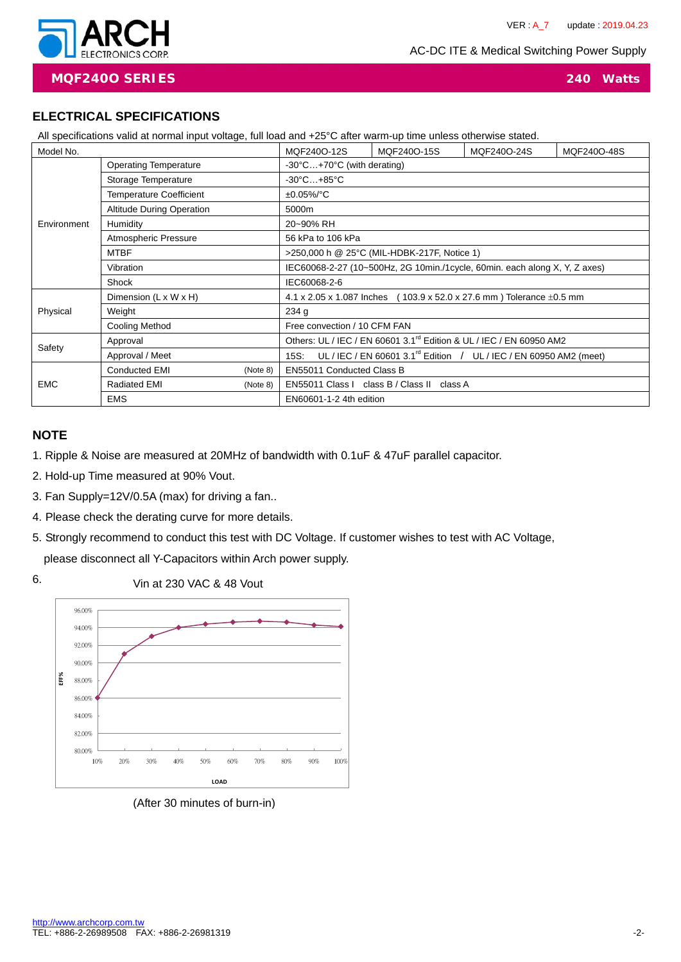AC-DC ITE & Medical Switching Power Supply



**MQF240O SERIES 240 Watts**

# **ELECTRICAL SPECIFICATIONS**

| All specifications valid at normal input voltage, full load and +25°C after warm-up time unless otherwise stated. |                                  |             |                                                                                           |             |                                                                           |  |  |
|-------------------------------------------------------------------------------------------------------------------|----------------------------------|-------------|-------------------------------------------------------------------------------------------|-------------|---------------------------------------------------------------------------|--|--|
| Model No.                                                                                                         |                                  | MQF240O-12S | MQF240O-15S                                                                               | MQF240O-24S | MQF240O-48S                                                               |  |  |
| Environment                                                                                                       | <b>Operating Temperature</b>     |             | $-30^{\circ}$ C $+70^{\circ}$ C (with derating)                                           |             |                                                                           |  |  |
|                                                                                                                   | Storage Temperature              |             | $-30^{\circ}$ C $+85^{\circ}$ C                                                           |             |                                                                           |  |  |
|                                                                                                                   | <b>Temperature Coefficient</b>   |             | $±0.05\%/°C$                                                                              |             |                                                                           |  |  |
|                                                                                                                   | <b>Altitude During Operation</b> |             | 5000m                                                                                     |             |                                                                           |  |  |
|                                                                                                                   | Humidity                         |             | 20~90% RH                                                                                 |             |                                                                           |  |  |
|                                                                                                                   | Atmospheric Pressure             |             | 56 kPa to 106 kPa                                                                         |             |                                                                           |  |  |
|                                                                                                                   | <b>MTBF</b>                      |             | >250,000 h @ 25°C (MIL-HDBK-217F, Notice 1)                                               |             |                                                                           |  |  |
|                                                                                                                   | Vibration                        |             | IEC60068-2-27 (10~500Hz, 2G 10min./1cycle, 60min. each along X, Y, Z axes)                |             |                                                                           |  |  |
|                                                                                                                   | Shock                            |             | IEC60068-2-6                                                                              |             |                                                                           |  |  |
|                                                                                                                   | Dimension (L x W x H)            |             |                                                                                           |             | 4.1 x 2.05 x 1.087 Inches (103.9 x 52.0 x 27.6 mm) Tolerance $\pm$ 0.5 mm |  |  |
| Physical                                                                                                          | Weight                           |             | 234 <sub>g</sub>                                                                          |             |                                                                           |  |  |
|                                                                                                                   | <b>Cooling Method</b>            |             | Free convection / 10 CFM FAN                                                              |             |                                                                           |  |  |
| Safety                                                                                                            | Approval                         |             | Others: UL / IEC / EN 60601 3.1 <sup>rd</sup> Edition & UL / IEC / EN 60950 AM2           |             |                                                                           |  |  |
|                                                                                                                   | Approval / Meet                  |             | UL / IEC / EN 60601 3.1 <sup>rd</sup> Edition / UL / IEC / EN 60950 AM2 (meet)<br>$15S$ : |             |                                                                           |  |  |
|                                                                                                                   | <b>Conducted EMI</b><br>(Note 8) |             | EN55011 Conducted Class B                                                                 |             |                                                                           |  |  |
| <b>EMC</b>                                                                                                        | <b>Radiated EMI</b>              | (Note 8)    | EN55011 Class I class B / Class II class A                                                |             |                                                                           |  |  |
|                                                                                                                   | <b>EMS</b>                       |             | EN60601-1-2 4th edition                                                                   |             |                                                                           |  |  |

### **NOTE**

- 1. Ripple & Noise are measured at 20MHz of bandwidth with 0.1uF & 47uF parallel capacitor.
- 2. Hold-up Time measured at 90% Vout.
- 3. Fan Supply=12V/0.5A (max) for driving a fan..
- 4. Please check the derating curve for more details.
- 5. Strongly recommend to conduct this test with DC Voltage. If customer wishes to test with AC Voltage, please disconnect all Y-Capacitors within Arch power supply.
- Vin at 230 VAC & 48 Vout 6.



(After 30 minutes of burn-in)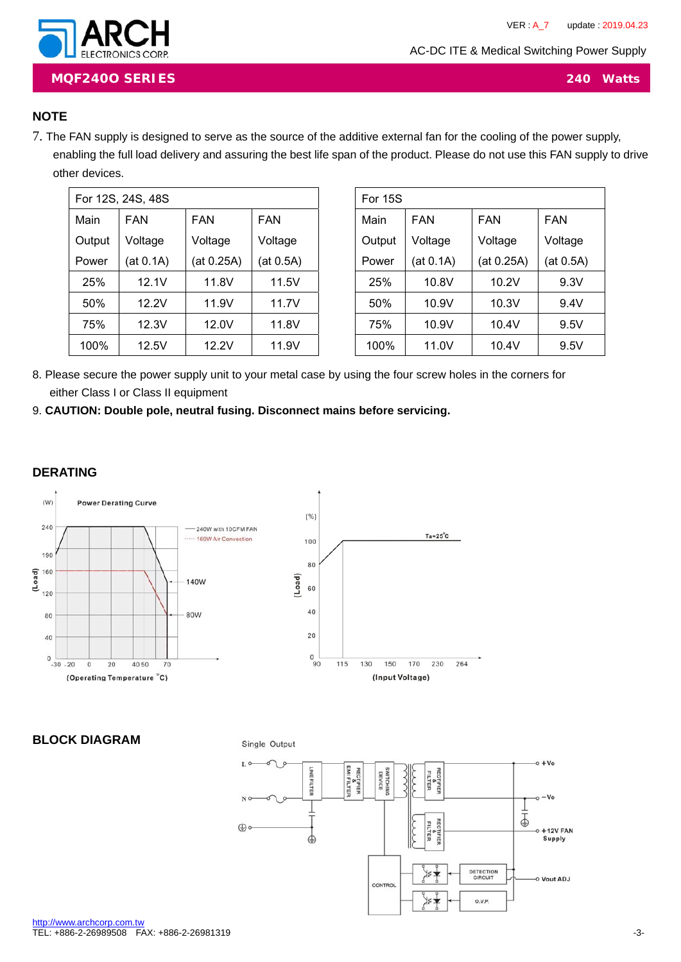AC-DC ITE & Medical Switching Power Supply



**MQF240O SERIES 240 Watts**

### **NOTE**

7. The FAN supply is designed to serve as the source of the additive external fan for the cooling of the power supply, enabling the full load delivery and assuring the best life span of the product. Please do not use this FAN supply to drive other devices.

| For 12S, 24S, 48S |            |            |            |  |  |
|-------------------|------------|------------|------------|--|--|
| Main              | <b>FAN</b> | FAN        | <b>FAN</b> |  |  |
| Output            | Voltage    | Voltage    | Voltage    |  |  |
| Power             | (at 0.1A)  | (at 0.25A) | (at 0.5A)  |  |  |
| 25%               | 12.1V      | 11.8V      | 11.5V      |  |  |
| 50%               | 12.2V      | 11.9V      | 11.7V      |  |  |
| 75%               | 12.3V      | 12.0V      | 11.8V      |  |  |
| 100%              | 12.5V      | 12.2V      | 11.9V      |  |  |

| For 15S |           |            |            |  |  |
|---------|-----------|------------|------------|--|--|
| Main    | FAN       | FAN        | <b>FAN</b> |  |  |
| Output  | Voltage   | Voltage    | Voltage    |  |  |
| Power   | (at 0.1A) | (at 0.25A) | (at 0.5A)  |  |  |
| 25%     | 10.8V     | 10.2V      | 9.3V       |  |  |
| 50%     | 10.9V     | 10.3V      | 9.4V       |  |  |
| 75%     | 10.9V     | 10.4V      | 9.5V       |  |  |
| 100%    | 11.0V     | 10.4V      | 9.5V       |  |  |

- 8. Please secure the power supply unit to your metal case by using the four screw holes in the corners for either Class I or Class II equipment
- 9. **CAUTION: Double pole, neutral fusing. Disconnect mains before servicing.**

#### **DERATING**



**BLOCK DIAGRAM** 

Single Output

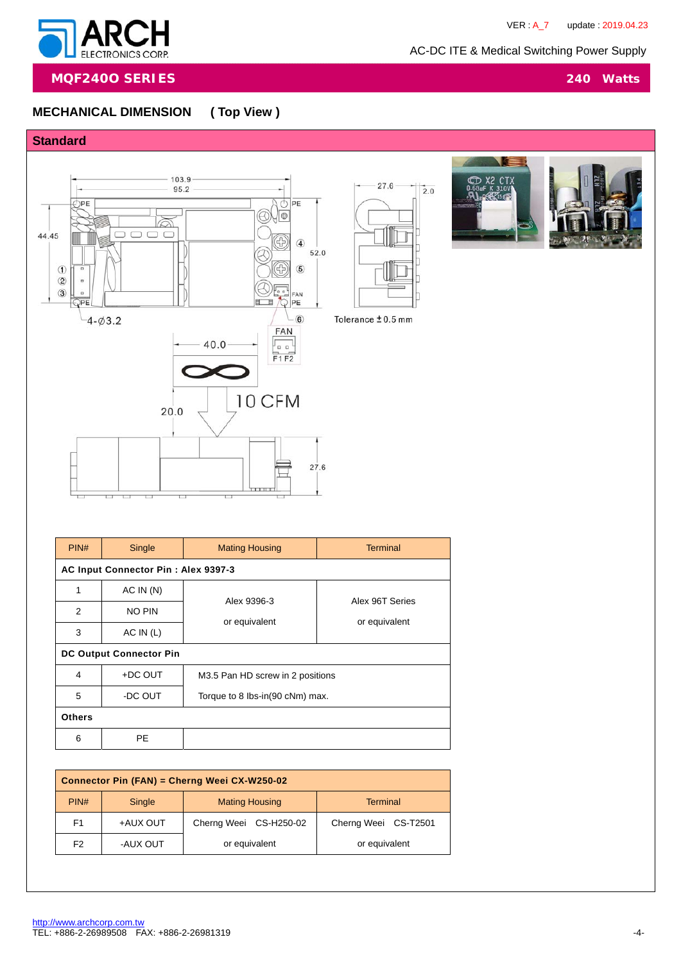$CT$ 

 $27.6$ 

 $\mathbb{I}_{2.0}$ 



**MQF240O SERIES 240 Watts**

# **MECHANICAL DIMENSION ( Top View )**





| PIN#                           | Single                              | <b>Mating Housing</b>            | <b>Terminal</b>                  |  |  |  |
|--------------------------------|-------------------------------------|----------------------------------|----------------------------------|--|--|--|
|                                | AC Input Connector Pin: Alex 9397-3 |                                  |                                  |  |  |  |
| 1                              | AC IN(N)                            |                                  |                                  |  |  |  |
| 2                              | <b>NO PIN</b>                       | Alex 9396-3                      | Alex 96T Series<br>or equivalent |  |  |  |
| 3                              | AC IN (L)                           | or equivalent                    |                                  |  |  |  |
| <b>DC Output Connector Pin</b> |                                     |                                  |                                  |  |  |  |
| 4                              | +DC OUT                             | M3.5 Pan HD screw in 2 positions |                                  |  |  |  |
| 5                              | -DC OUT                             | Torque to 8 lbs-in(90 cNm) max.  |                                  |  |  |  |
| <b>Others</b>                  |                                     |                                  |                                  |  |  |  |
| 6                              | <b>PE</b>                           |                                  |                                  |  |  |  |

| Connector Pin (FAN) = Cherng Weei CX-W250-02 |                |                        |                      |  |  |
|----------------------------------------------|----------------|------------------------|----------------------|--|--|
| PIN#                                         | Single         | <b>Mating Housing</b>  | Terminal             |  |  |
| F <sub>1</sub>                               | +AUX OUT       | Cherng Weei CS-H250-02 | Cherng Weei CS-T2501 |  |  |
| F <sub>2</sub>                               | <b>AUX OUT</b> | or equivalent          | or equivalent        |  |  |